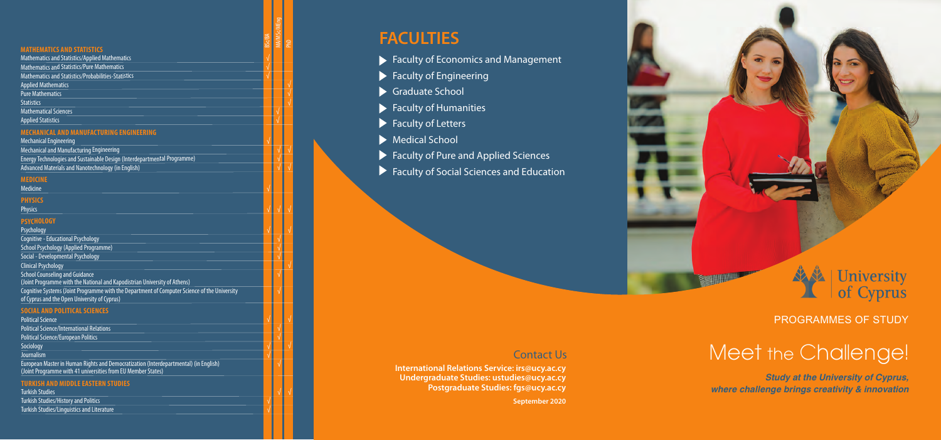PROGRAMMES OF STUDY

Meet the Challenge *Study at the University of Cyprus,*  .<br>.<br>. *where challenge brings creativity & innovation*

# **FACULTIES**

- **Faculty of Economics and Management**
- $\blacktriangleright$  Faculty of Engineering
- Graduate School
- $\blacktriangleright$  Faculty of Humanities
- $\blacktriangleright$  Faculty of Letters
- Medical School
- ▶ Faculty of Pure and Applied Sciences
- Faculty of Social Sciences and Education

**International Relations Service: irs@ucy.ac.cy Undergraduate Studies: ustudies@ucy.ac.cy Postgraduate Studies: fgs@ucy.ac.cy**

**September 2020**



## Contact Us

## **MATHEMATICS AND STATISTICS**

Psychology Cognitive - Educational Psychology

School Psychology (Applied Programme)

Social - Developmental Psychology

Clinical Psychology<br>School Counseling and Guidance

(Joint Programme with the National and Kapodistrian University of Athens)

Cognitive Systems (Joint Programme with the Department of Computer Science of the University of Cyprus and the Open University of Cyprus)

√

√

| <b>Mathematics and Statistics/Applied Mathematics</b>      |
|------------------------------------------------------------|
| <b>Mathematics and Statistics/Pure Mathematics</b>         |
| <b>Mathematics and Statistics/Probabilities-Statistics</b> |
| <b>Applied Mathematics</b>                                 |
| <b>Pure Mathematics</b>                                    |
| <b>Statistics</b>                                          |
| <b>Mathematical Sciences</b>                               |
| Annical Ctationics                                         |

Applied Statistic

√

√

√

√

√

√

## **MECHANICAL AND MANUFACTURING ENGINEERING**

Mechanical Engineering

Mechanical and Manufacturing Engineering Energy Technologies and Sustainable Design (Interdepartmental Programme) Advanced Materials and Nanotechnology (in English)

**Political Science** Political Science/International Relations Political Science/European Politics Sociology Journalism

√

√ √

√

√ √

**MEDICINE**

Medicine

√

MBS SSCRIPT | 1<br>| 1<br>| 1<br>| 1<br>| 1<br>| 1<br>| 1<br>| 1<br>| 1

**PHYSICS**

Physics

√ √

## **PSYCHOLOGY**

√

√

## **SOCIAL AND POLITICALSCIENCES**

√

√

√

√

√

√

European Master in Human Rights and Democratization (Interdepartmental) (in English) (Joint Programme with 41 universities from EU Member States)

√

## **TURKISH AND MIDDLE EASTERN STUDIES**

Turkish Studies

√ √

Turkish Studies /HistoryandPolitics

√

## Turkish Studies /LinguisticsandLiterature

MA/MSc/MEng

PhD